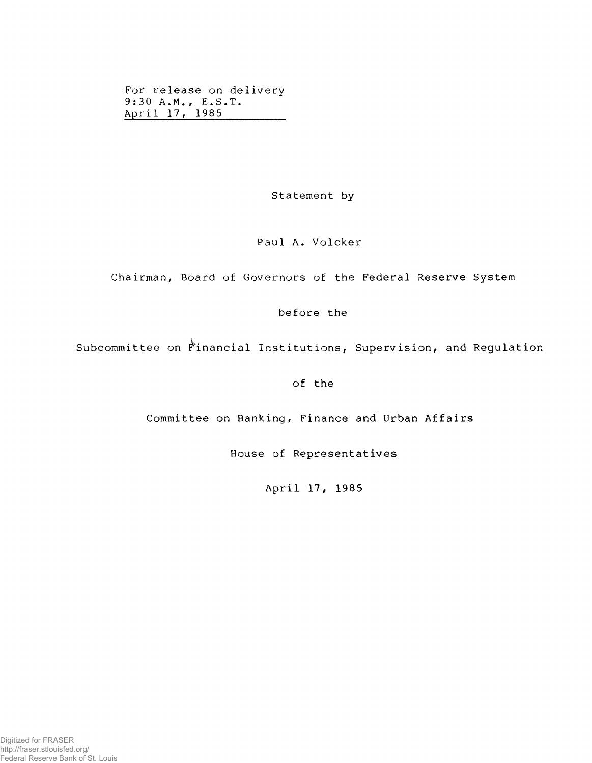For release on delivery 9:30 A.M., E.S.T. April 17, 1985

Statement by

## Paul A. Volcker

Chairman, Board of Governors of the Federal Reserve System

before the

Subcommittee on Financial Institutions, Supervision, and Regulation

of the

Committee on Banking, Finance and Urban Affairs

House of Representatives

April 17, 1985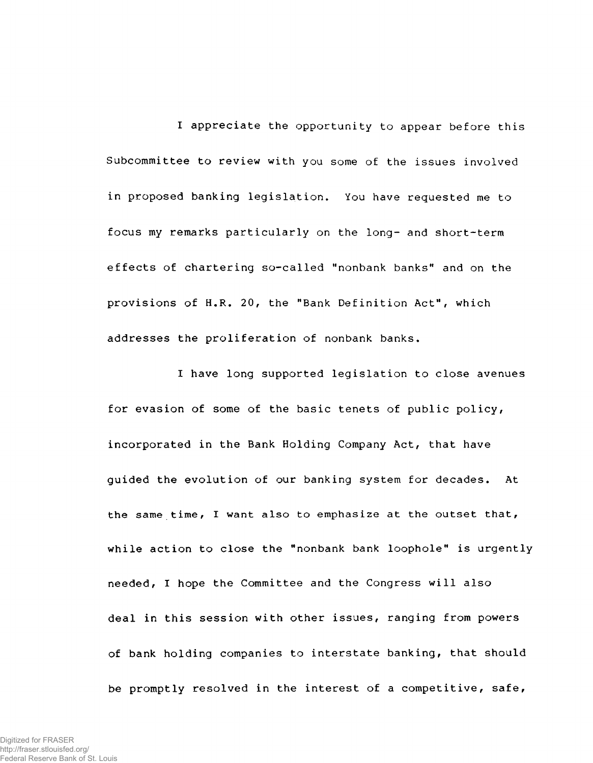I appreciate the opportunity to appear before this Subcommittee to review with you some of the issues involved in proposed banking legislation. You have requested me to focus my remarks particularly on the long- and short-term effects of chartering so-called "nonbank banks" and on the provisions of H.R. 20, the "Bank Definition Act", which addresses the proliferation of nonbank banks.

I have long supported legislation to close avenues for evasion of some of the basic tenets of public policy, incorporated in the Bank Holding Company Act, that have guided the evolution of our banking system for decades. At the same time, I want also to emphasize at the outset that, while action to close the "nonbank bank loophole" is urgently needed, I hope the Committee and the Congress will also deal in this session with other issues, ranging from powers of bank holding companies to interstate banking, that should be promptly resolved in the interest of a competitive, safe,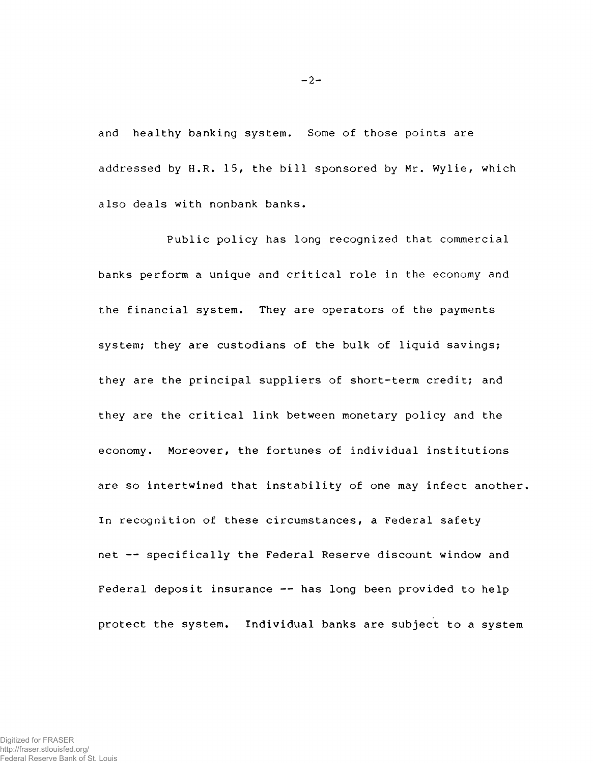and healthy banking system. Some of those points are addressed by H.R. 15, the bill sponsored by Mr. Wylie, which also deals with nonbank banks.

Public policy has long recognized that commercial banks perform a unique and critical role in the economy and the financial system. They are operators of the payments system; they are custodians of the bulk of liquid savings; they are the principal suppliers of short-term credit; and they are the critical link between monetary policy and the economy. Moreover, the fortunes of individual institutions are so intertwined that instability of one may infect another, In recognition of these circumstances, a Federal safety net -- specifically the Federal Reserve discount window and Federal deposit insurance -- has long been provided to help protect the system. Individual banks are subject to a system

 $-2-$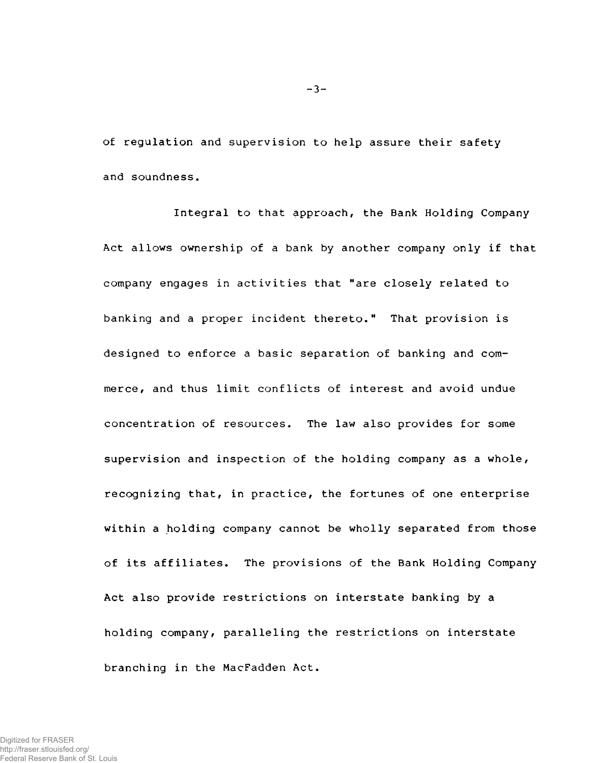of regulation and supervision to help assure their safety and soundness.

Integral to that approach, the Bank Holding Company Act allows ownership of a bank by another company only if that company engages in activities that "are closely related to banking and a proper incident thereto." That provision is designed to enforce a basic separation of banking and commerce, and thus limit conflicts of interest and avoid undue concentration of resources. The law also provides for some supervision and inspection of the holding company as a whole, recognizing that, in practice, the fortunes of one enterprise within a holding company cannot be wholly separated from those of its affiliates. The provisions of the Bank Holding Company Act also provide restrictions on interstate banking by a holding company, paralleling the restrictions on interstate branching in the MacFadden Act.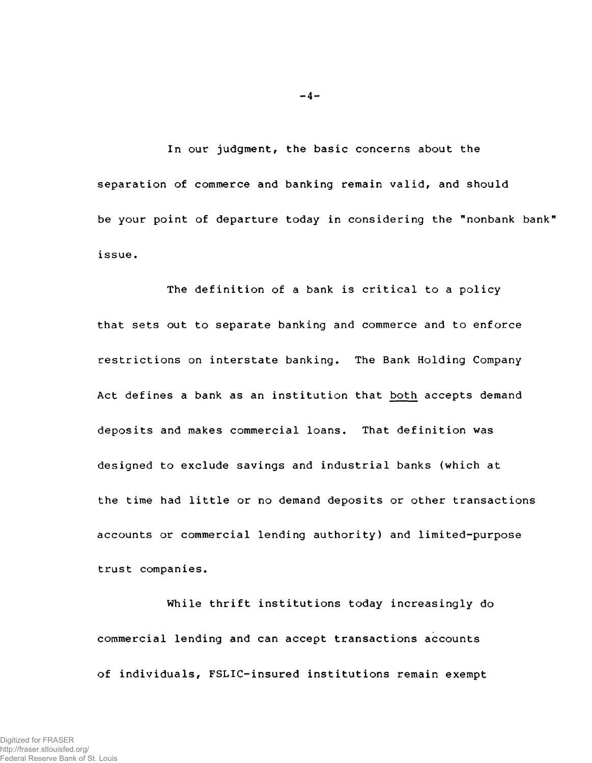In our judgment, the basic concerns about the separation of commerce and banking remain valid, and should be your point of departure today in considering the "nonbank bank' issue.

The definition of a bank is critical to a policy that sets out to separate banking and commerce and to enforce restrictions on interstate banking. The Bank Holding Company Act defines a bank as an institution that both accepts demand deposits and makes commercial loans. That definition was designed to exclude savings and industrial banks (which at the time had little or no demand deposits or other transactions accounts or commercial lending authority) and limited-purpose trust companies.

While thrift institutions today increasingly do commercial lending and can accept transactions accounts of individuals, FSLIC-insured institutions remain exempt

 $- 4 -$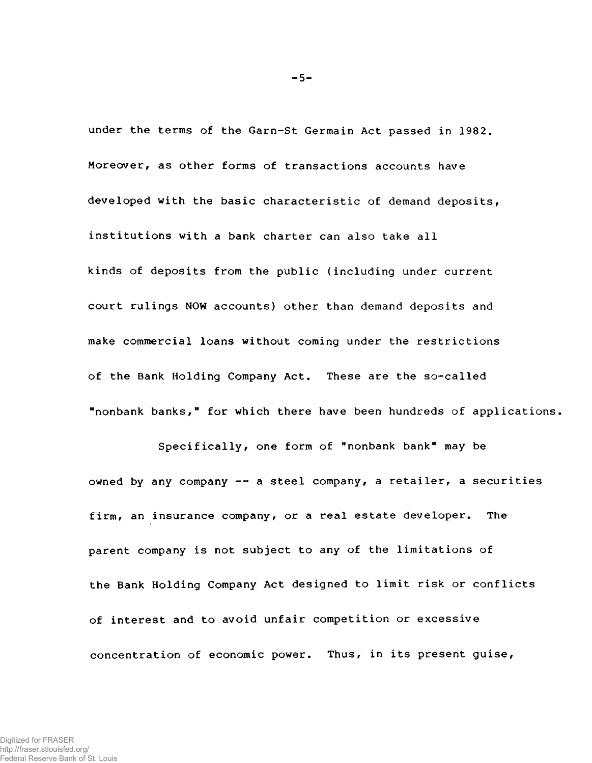under the terms of the Garn-St Germain Act passed in 1982. Moreover, as other forms of transactions accounts have developed with the basic characteristic of demand deposits, institutions with a bank charter can also take all kinds of deposits from the public (including under current court rulings NOW accounts) other than demand deposits and make commercial loans without coming under the restrictions of the Bank Holding Company Act. These are the so-called "nonbank banks," for which there have been hundreds of applications,

Specifically, one form of "nonbank bank" may be owned by any company  $-$  a steel company, a retailer, a securities firm, an insurance company, or a real estate developer. The parent company is not subject to any of the limitations of the Bank Holding Company Act designed to limit risk or conflicts of interest and to avoid unfair competition or excessive concentration of economic power. Thus, in its present guise,

 $-5-$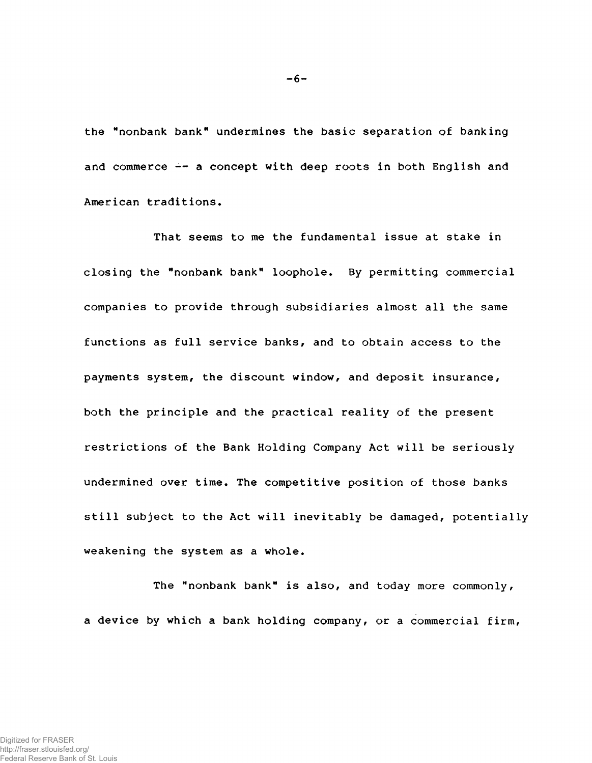**the "nonbank bank" undermines the basic separation of banking** and commerce  $\div$  a concept with deep roots in both English and **American traditions.**

**That seems to me the fundamental issue at stake in closing the "nonbank bank" loophole. By permitting commercial companies to provide through subsidiaries almost all the same functions as full service banks, and to obtain access to the payments system, the discount window, and deposit insurance, both the principle and the practical reality of the present restrictions of the Bank Holding Company Act will be seriously undermined over time. The competitive position of those banks still subject to the Act will inevitably be damaged, potentially weakening the system as a whole.**

**The "nonbank bank" is also, and today more commonly, a device by which a bank holding company, or a commercial firm,**

**-6-**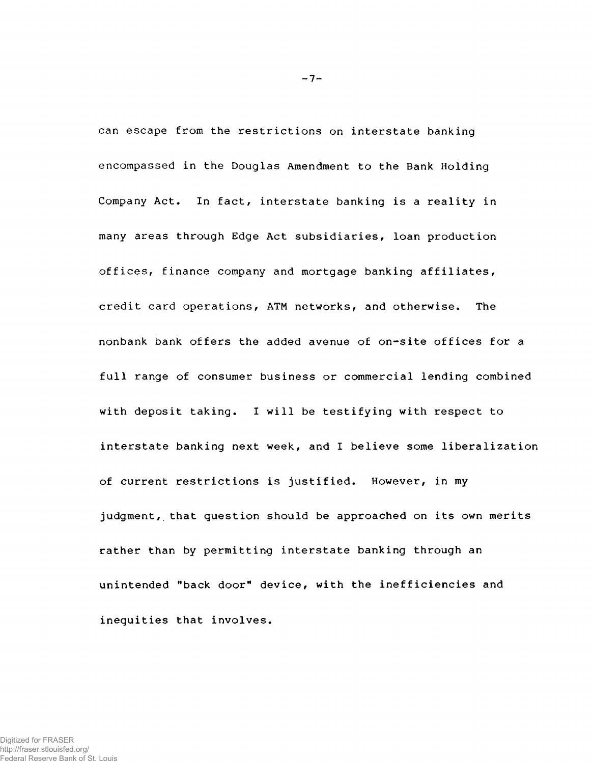can escape from the restrictions on interstate banking encompassed in the Douglas Amendment to the Bank Holding Company Act. In fact, interstate banking is a reality in many areas through Edge Act subsidiaries, loan production offices, finance company and mortgage banking affiliates, credit card operations, ATM networks, and otherwise. The nonbank bank offers the added avenue of on-site offices for a full range of consumer business or commercial lending combined with deposit taking. I will be testifying with respect to interstate banking next week, and I believe some liberalization of current restrictions is justified. However, in my judgment, that question should be approached on its own merits rather than by permitting interstate banking through an unintended "back door" device, with the inefficiencies and inequities that involves.

 $-7-$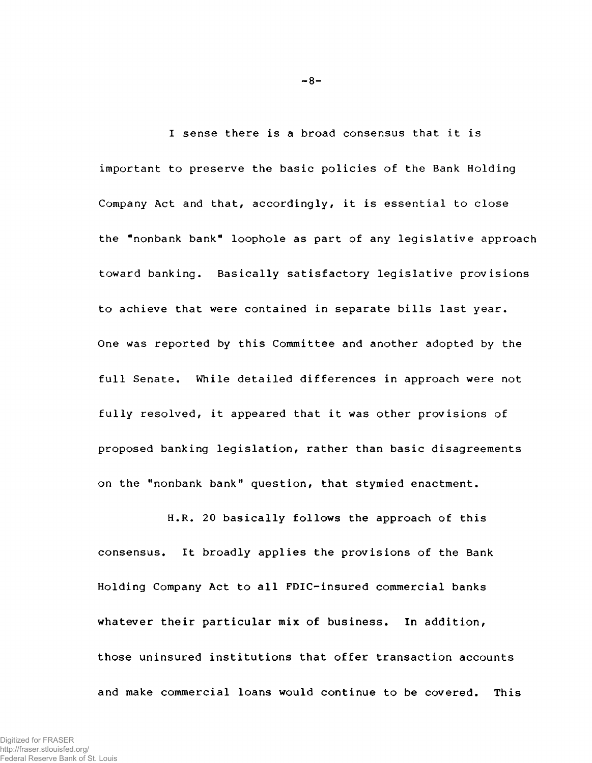I sense there is a broad consensus that it is important to preserve the basic policies of the Bank Holding Company Act and that, accordingly, it is essential to close the "nonbank bank" loophole as part of any legislative approach toward banking. Basically satisfactory legislative provisions to achieve that were contained in separate bills last year. One was reported by this Committee and another adopted by the full Senate. While detailed differences in approach were not fully resolved, it appeared that it was other provisions of proposed banking legislation, rather than basic disagreements on the "nonbank bank" question, that stymied enactment.

H.R. 20 basically follows the approach of this consensus. It broadly applies the provisions of the Bank Holding Company Act to all FDIC-insured commercial banks whatever their particular mix of business. In addition, those uninsured institutions that offer transaction accounts and make commercial loans would continue to be covered. This

 $-8-$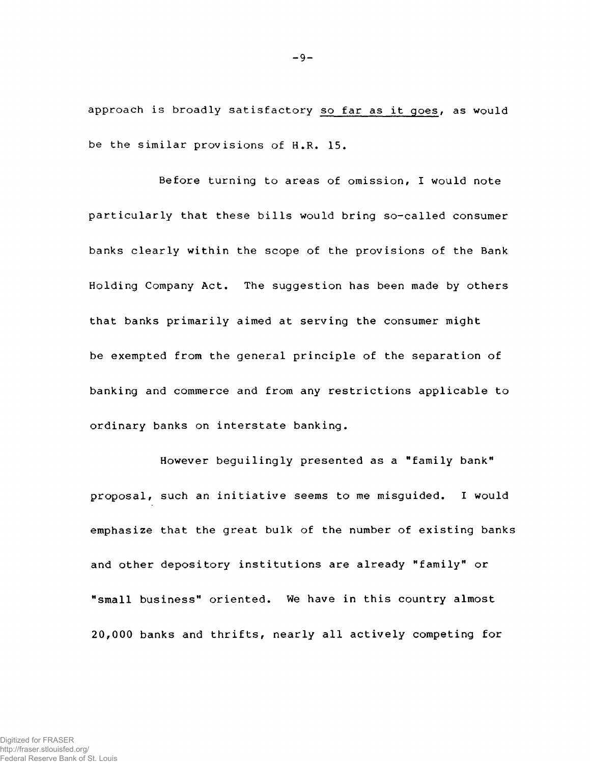approach is broadly satisfactory so far as it goes, as would be the similar provisions of H.R. 15.

Before turning to areas of omission, I would note particularly that these bills would bring so-called consumer banks clearly within the scope of the provisions of the Bank Holding Company Act. The suggestion has been made by others that banks primarily aimed at serving the consumer might be exempted from the general principle of the separation of banking and commerce and from any restrictions applicable to ordinary banks on interstate banking.

However beguilingly presented as a "family bank" proposal, such an initiative seems to me misguided. I would emphasize that the great bulk of the number of existing banks and other depository institutions are already "family" or "small business" oriented. We have in this country almost 20,000 banks and thrifts, nearly all actively competing for

 $-9-$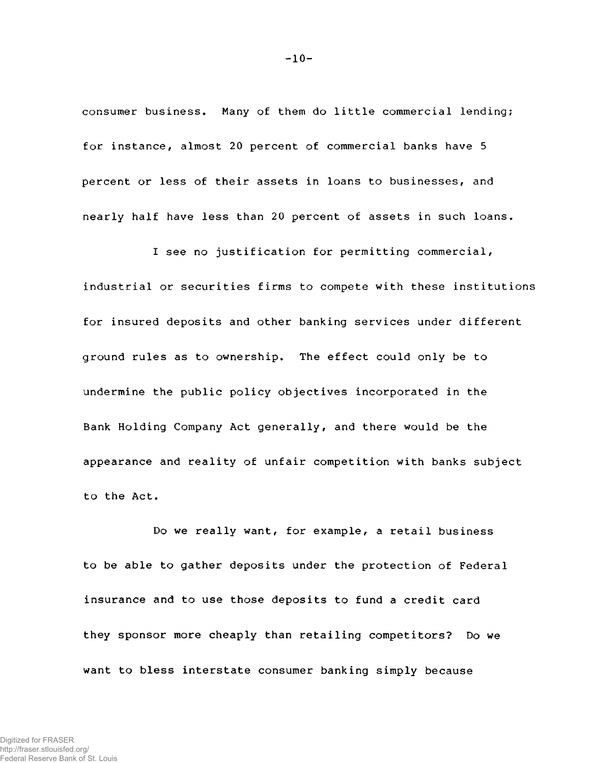consumer business. Many of them do little commercial lending; for instance, almost 20 percent of commercial banks have 5 percent or less of their assets in loans to businesses, and nearly half have less than 20 percent of assets in such loans.

I see no justification for permitting commercial, industrial or securities firms to compete with these institutions for insured deposits and other banking services under different ground rules as to ownership. The effect could only be to undermine the public policy objectives incorporated in the Bank Holding Company Act generally, and there would be the appearance and reality of unfair competition with banks subject to the Act.

Do we really want, for example, a retail business to be able to gather deposits under the protection of Federal insurance and to use those deposits to fund a credit card they sponsor more cheaply than retailing competitors? Do we want to bless interstate consumer banking simply because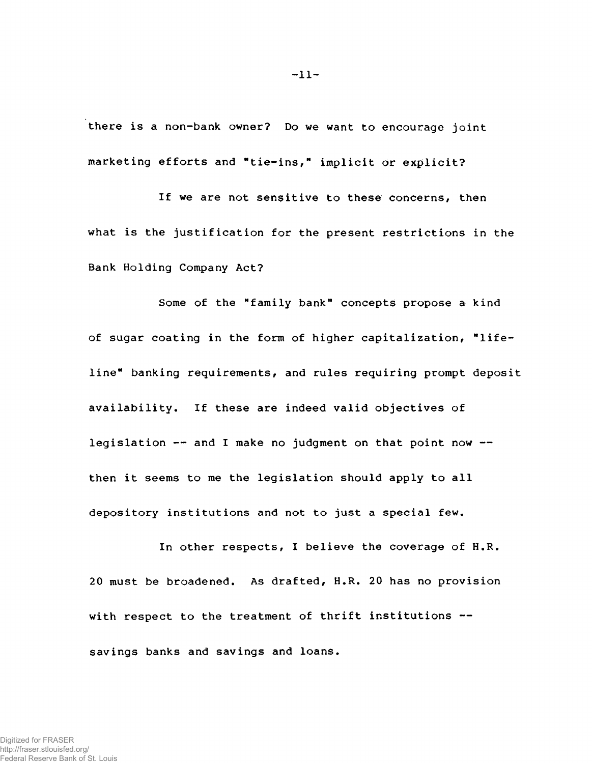**there is a non-bank owner? Do we want to encourage joint marketing efforts and "tie-ins," implicit or explicit?**

**If we are not sensitive to these concerns, then what is the justification for the present restrictions in the Bank Holding Company Act?**

**Some of the "family bank" concepts propose a kind of sugar coating in the form of higher capitalization, "lifeline" banking requirements, and rules requiring prompt deposit availability. If these are indeed valid objectives of legislation — and I make no judgment on that point now then it seems to me the legislation should apply to all depository institutions and not to just a special few.**

**In other respects, I believe the coverage of H.R. 20 must be broadened. As drafted, H.R. 20 has no provision with respect to the treatment of thrift institutions savings banks and savings and loans.**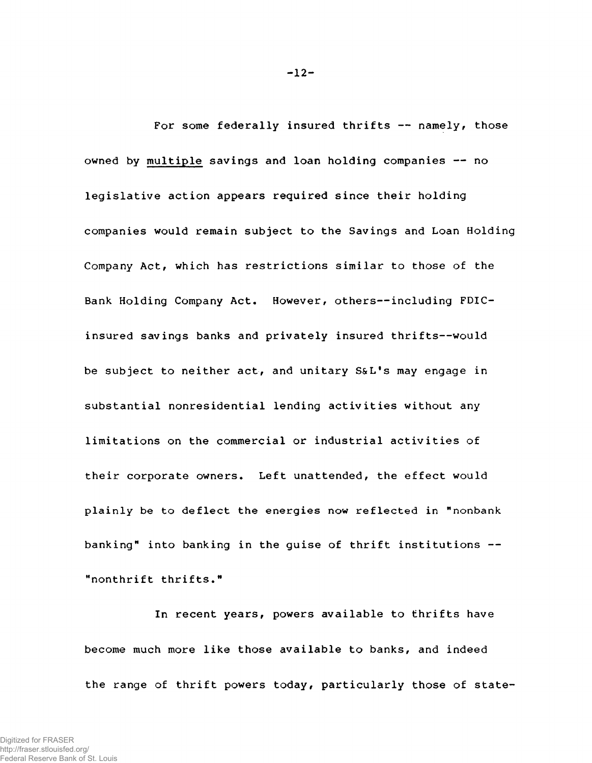**For some federally insured thrifts — namely, those owned by multiple savings and loan holding companies — no legislative action appears required since their holding companies would remain subject to the Savings and Loan Holding Company Actf which has restrictions similar to those of the** Bank Holding Company Act. However, others--including FDIC**insured savings banks and privately insured thrifts—would be subject to neither act, and unitary S&L's may engage in substantial nonresidential lending activities without any limitations on the commercial or industrial activities of** their corporate owners. Left unattended, the effect would **plainly be to deflect the energies now reflected in "nonbank banking" into banking in the guise of thrift institutions — "nonthrift thrifts."**

**In recent years, powers available to thrifts have become much more like those available to banks, and indeed the range of thrift powers today, particularly those of state-**

**-12-**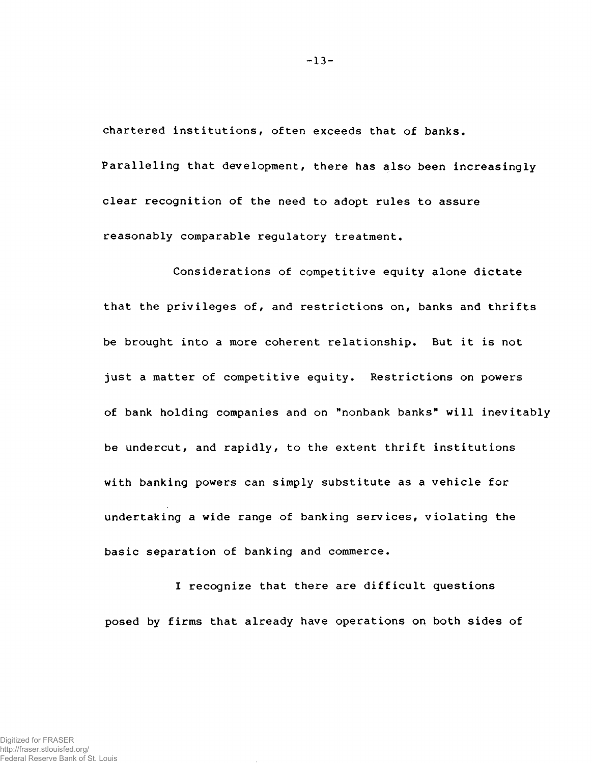**chartered institutions, often exceeds that of banks. Paralleling that development, there has also been increasingly clear recognition of the need to adopt rules to assure** reasonably comparable regulatory treatment.

**Considerations of competitive equity alone dictate that the privileges off and restrictions on, banks and thrifts** be brought into a more coherent relationship. But it is not **just a matter of competitive equity. Restrictions on powers of bank holding companies and on "nonbank banks<sup>11</sup> will inevitably be undercut, and rapidly, to the extent thrift institutions with banking powers can simply substitute as a vehicle for undertaking a wide range of banking services, violating the basic separation of banking and commerce.**

**I recognize that there are difficult questions posed by firms that already have operations on both sides of**

**-13-**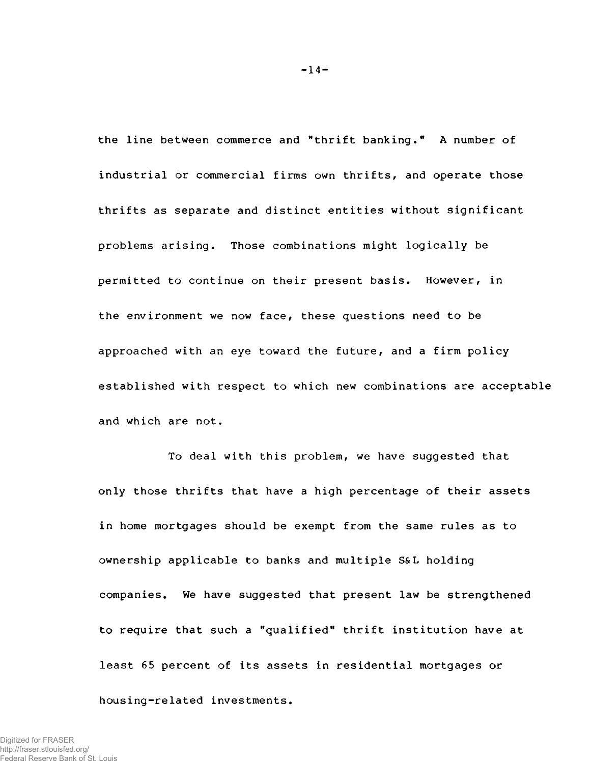the line between commerce and "thrift banking." A number of industrial or commercial firms own thrifts, and operate those thrifts as separate and distinct entities without significant problems arising. Those combinations might logically be permitted to continue on their present basis. However, in the environment we now face, these questions need to be approached with an eye toward the future, and a firm policy established with respect to which new combinations are acceptable and which are not.

To deal with this problem, we have suggested that only those thrifts that have a high percentage of their assets in home mortgages should be exempt from the same rules as to ownership applicable to banks and multiple S&L holding companies. We have suggested that present law be strengthened to require that such a "qualified" thrift institution have at least 65 percent of its assets in residential mortgages or housing-related investments.

 $-14-$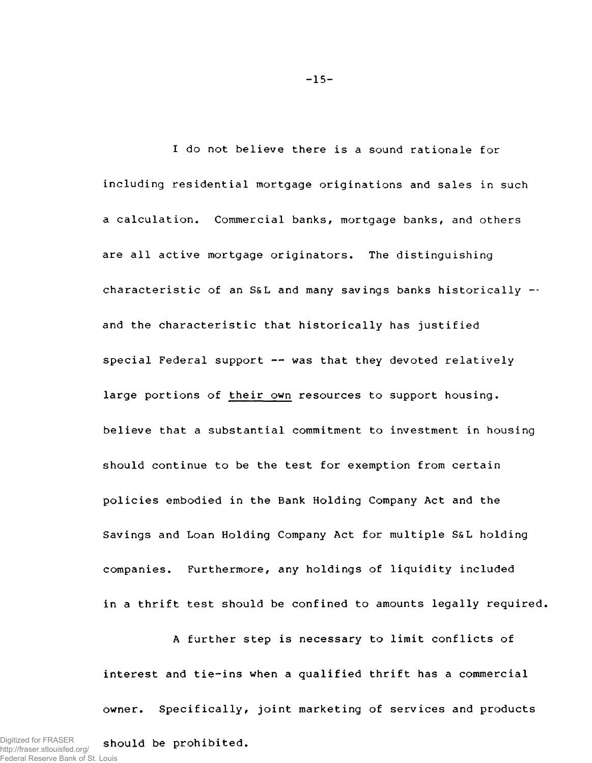I do not believe there is a sound rationale for including residential mortgage originations and sales in such a calculation. Commercial banks, mortgage banks, and others are all active mortgage originators. The distinguishing characteristic of an S&L and many savings banks historically  $$ and the characteristic that historically has justified special Federal support -- was that they devoted relatively large portions of their own resources to support housing, believe that a substantial commitment to investment in housing should continue to be the test for exemption from certain policies embodied in the Bank Holding Company Act and the Savings and Loan Holding Company Act for multiple S&L holding companies. Furthermore, any holdings of liquidity included in a thrift test should be confined to amounts legally required,

A further step is necessary to limit conflicts of interest and tie-ins when a qualified thrift has a commercial owner. Specifically, joint marketing of services and products

-15-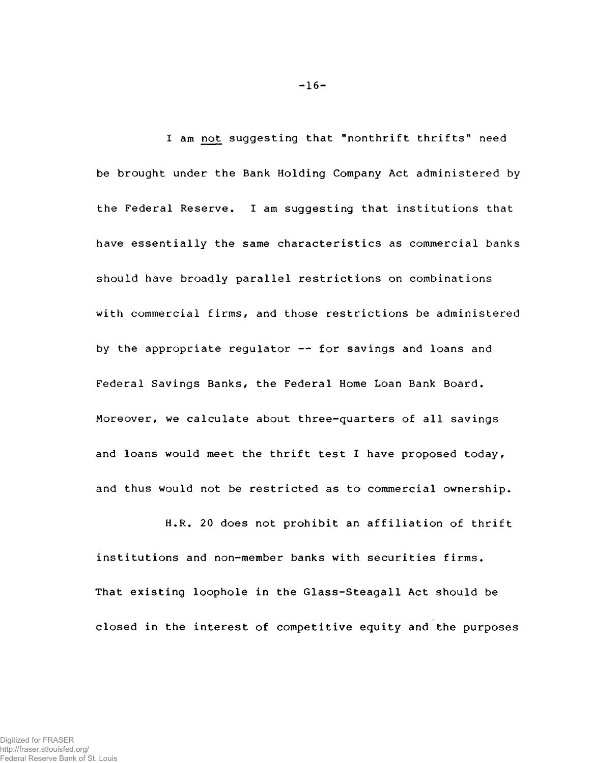I am not suggesting that "nonthrift thrifts" need be brought under the Bank Holding Company Act administered by the Federal Reserve. I am suggesting that institutions that have essentially the same characteristics as commercial banks should have broadly parallel restrictions on combinations with commercial firms, and those restrictions be administered by the appropriate regulator -- for savings and loans and Federal Savings Banks, the Federal Home Loan Bank Board. Moreover, we calculate about three-quarters of all savings and loans would meet the thrift test I have proposed today, and thus would not be restricted as to commercial ownership.

H.R. 20 does not prohibit an affiliation of thrift institutions and non-member banks with securities firms. That existing loophole in the Glass-Steagall Act should be closed in the interest of competitive equity and the purposes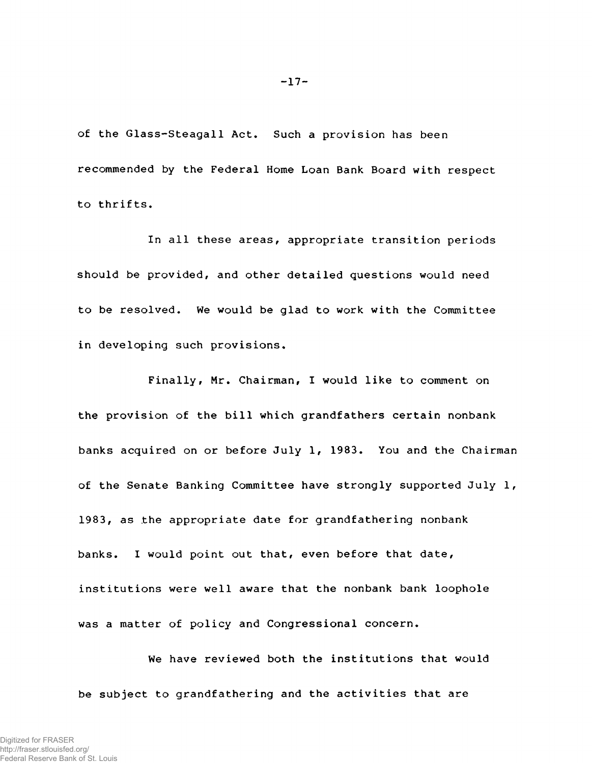of the Glass-Steagall Act. Such a provision has been recommended by the Federal Home Loan Bank Board with respect to thrifts.

In all these areas, appropriate transition periods should be provided, and other detailed questions would need to be resolved. We would be glad to work with the Committee in developing such provisions.

Finally, Mr. Chairman, I would like to comment on the provision of the bill which grandfathers certain nonbank banks acquired on or before July 1, 1983. You and the Chairman of the Senate Banking Committee have strongly supported July 1, 1983, as the appropriate date for grandfathering nonbank banks. I would point out that, even before that date, institutions were well aware that the nonbank bank loophole was a matter of policy and Congressional concern.

We have reviewed both the institutions that would be subject to grandfathering and the activities that are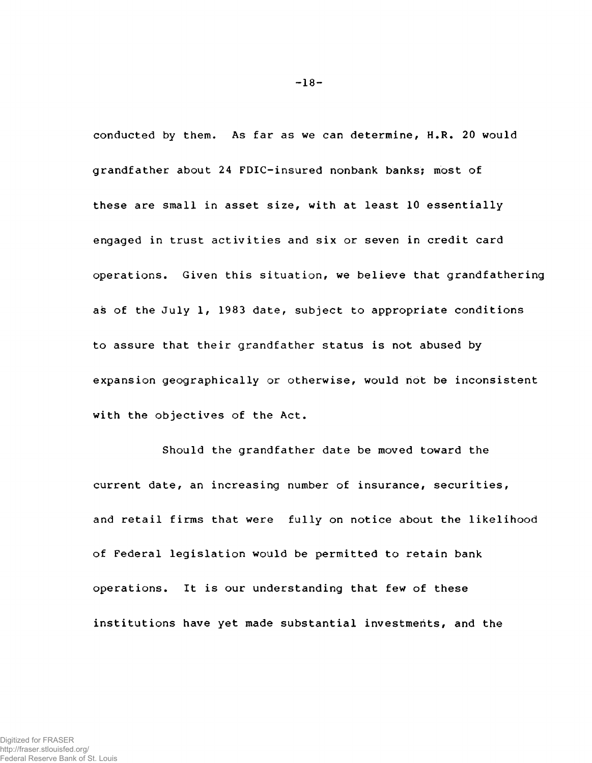conducted by them. As far as we can determine, H.R. 20 would grandfather about 24 FDIC-insured nonbank banks; most of these are small in asset size, with at least 10 essentially engaged in trust activities and six or seven in credit card operations. Given this situation, we believe that grandfathering as of the July 1, 1983 date, subject to appropriate conditions to assure that their grandfather status is not abused by expansion geographically or otherwise, would not be inconsistent with the objectives of the Act.

Should the grandfather date be moved toward the current date, an increasing number of insurance, securities, and retail firms that were fully on notice about the likelihood of Federal legislation would be permitted to retain bank operations. It is our understanding that few of these institutions have yet made substantial investments, and the

-18-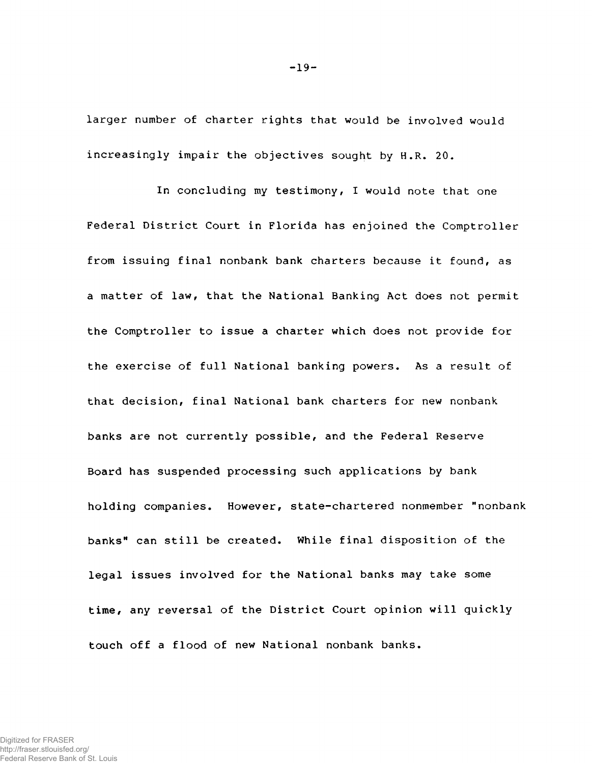larger number of charter rights that would be involved would increasingly impair the objectives sought by H.R. 20.

In concluding my testimony, I would note that one Federal District Court in Florida has enjoined the Comptroller from issuing final nonbank bank charters because it found, as a matter of law, that the National Banking Act does not permit the Comptroller to issue a charter which does not provide for the exercise of full National banking powers. As a result of that decision, final National bank charters for new nonbank banks are not currently possible, and the Federal Reserve Board has suspended processing such applications by bank holding companies. However, state-chartered nonmember "nonbank banks" can still be created. While final disposition of the legal issues involved for the National banks may take some time, any reversal of the District Court opinion will quickly touch off a flood of new National nonbank banks.